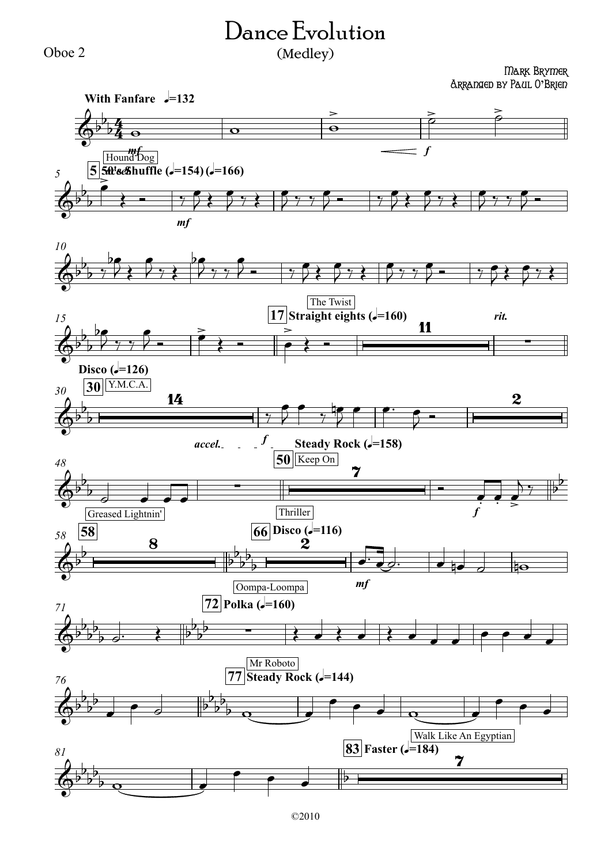## Dance Evolution

## (Medley)

Mark Brymer Arranged by Paul O**'**Brien



Oboe 2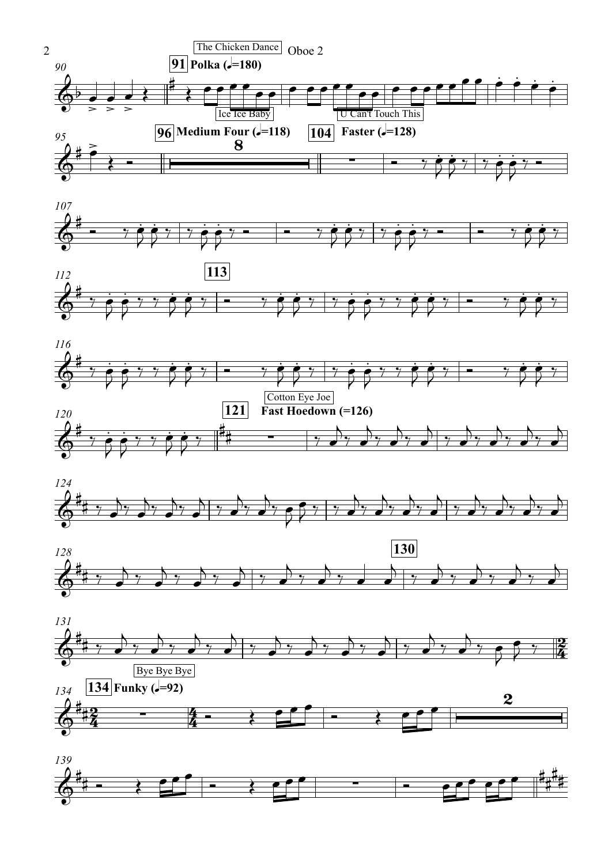